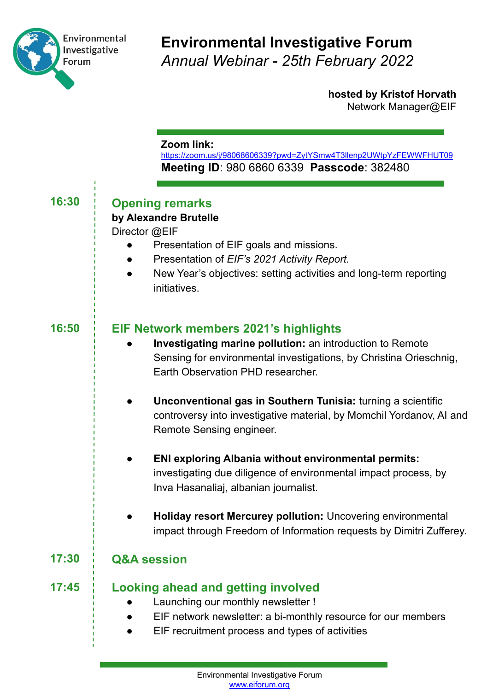

Ĭ.

## **Environmental Investigative Forum** *Annual Webinar - 25th February 2022*

**hosted by Kristof Horvath** Network Manager@EIF

#### **Zoom link:**

<https://zoom.us/j/98068606339?pwd=ZytYSmw4T3llenp2UWtpYzFEWWFHUT09> **Meeting ID**: 980 6860 6339 **Passcode**: 382480

| 16:30 | <b>Opening remarks</b><br>by Alexandre Brutelle<br>Director @EIF<br>Presentation of EIF goals and missions.<br>Presentation of EIF's 2021 Activity Report.<br>New Year's objectives: setting activities and long-term reporting<br>initiatives.                                                                                                                                   |
|-------|-----------------------------------------------------------------------------------------------------------------------------------------------------------------------------------------------------------------------------------------------------------------------------------------------------------------------------------------------------------------------------------|
| 16:50 | EIF Network members 2021's highlights<br>Investigating marine pollution: an introduction to Remote<br>Sensing for environmental investigations, by Christina Orieschnig,<br>Earth Observation PHD researcher.<br>Unconventional gas in Southern Tunisia: turning a scientific<br>controversy into investigative material, by Momchil Yordanov, AI and<br>Remote Sensing engineer. |
|       | ENI exploring Albania without environmental permits:<br>investigating due diligence of environmental impact process, by<br>Inva Hasanaliaj, albanian journalist.<br>Holiday resort Mercurey pollution: Uncovering environmental<br>impact through Freedom of Information requests by Dimitri Zufferey.                                                                            |
| 17:30 | <b>Q&amp;A session</b>                                                                                                                                                                                                                                                                                                                                                            |
| 17:45 | <b>Looking ahead and getting involved</b><br>Launching our monthly newsletter !<br>EIF network newsletter: a bi-monthly resource for our members<br>EIF recruitment process and types of activities                                                                                                                                                                               |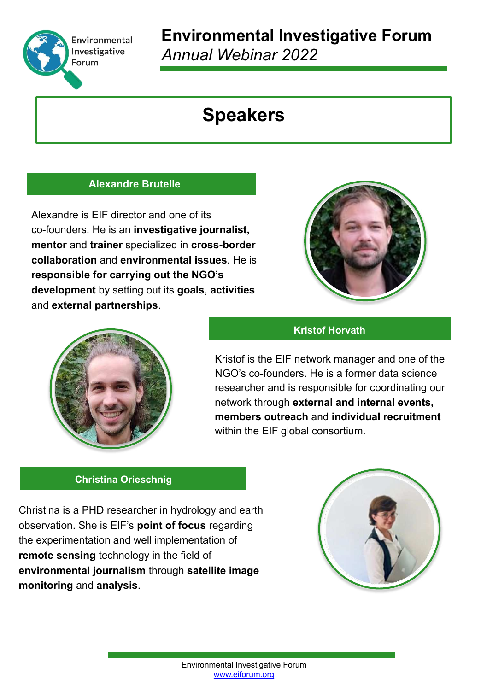

# **Environmental Investigative Forum** *Annual Webinar 2022*

# **Speakers**

### **Alexandre Brutelle**

Alexandre is EIF director and one of its co-founders. He is an **investigative journalist, mentor** and **trainer** specialized in **cross-border collaboration** and **environmental issues**. He is **responsible for carrying out the NGO's development** by setting out its **goals**, **activities**  and **external partnerships**.



### **Kristof Horvath**



Kristof is the EIF network manager and one of the NGO's co-founders. He is a former data science researcher and is responsible for coordinating our network through **external and internal events, members outreach** and **individual recruitment** within the EIF global consortium.

#### **Christina Orieschnig**

Christina is a PHD researcher in hydrology and earth observation. She is EIF's **point of focus** regarding the experimentation and well implementation of **remote sensing** technology in the field of **environmental journalism** through **satellite image monitoring** and **analysis**.